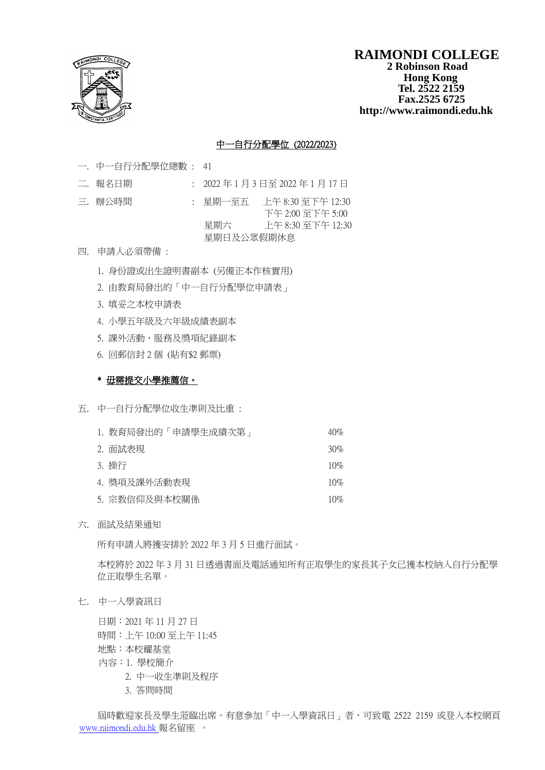

### **RAIMONDI COLLEGE 2 Robinson Road Hong Kong Tel. 2522 2159 Fax.2525 6725 http://www.raimondi.edu.hk**

## 中一自行分配學位 (2022/2023)

- 一. 中一自行分配學位總數 : 41
- 二. 報名日期 : 2022年1月3日至 2022年1月17日
- 
- 三. 辦公時間 : 星期一至五 上午 8:30 至下午 12:30 下午 2:00 至下午 5:00 星期六 上午 8:30 至下午 12:30 星期日及公眾假期休息
- 四. 申請人必須帶備 :
	- 1. 身份證或出生證明書副本 (另備正本作核實用)
	- 2. 由教育局發出的「中一自行分配學位申請表」
	- 3. 填妥之本校申請表
	- 4. 小學五年級及六年級成績表副本
	- 5. 課外活動、服務及獎項紀錄副本
	- 6. 回郵信封 2 個 (貼有\$2 郵票)

### \* 毋需提交小學推薦信。

- 五. 中一自行分配學位收生準則及比重 :
	- 1. 教育局發出的「申請學生成績次第」 40% 2. 面試表現 30% 3. 操行 10% 4. 獎項及課外活動表現 10% 5. 宗教信仰及與本校關係 10%
- 六. 面試及結果通知

所有申請人將獲安排於 2022 年 3 月 5 日進行面試。

本校將於 2022 年 3 月 31 日透過書面及電話通知所有正取學生的家長其子女已獲本校納入自行分配學 位正取學生名單。

七. 中一入學資訊日

日期:2021 年 11 月 27 日 時間:上午 10:00 至上午 11:45 地點:本校耀基堂 內容:1. 學校簡介

- 2. 中一收生準則及程序
- 3. 答問時間